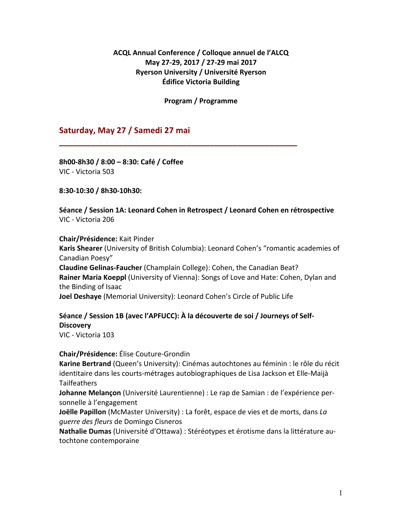## **ACQL Annual Conference / Colloque annuel de l'ALCQ May 27-29, 2017 / 27-29 mai 2017 Ryerson University / Université Ryerson Édifice Victoria Building**

**Program / Programme**

**\_\_\_\_\_\_\_\_\_\_\_\_\_\_\_\_\_\_\_\_\_\_\_\_\_\_\_\_\_\_\_\_\_\_\_\_\_\_\_\_\_\_\_\_\_\_\_\_\_\_\_\_**

## **Saturday, May 27 / Samedi 27 mai**

**8h00-8h30 / 8:00 – 8:30: Café / Coffee** VIC - Victoria 503

**8:30-10:30 / 8h30-10h30:**

**Séance / Session 1A: Leonard Cohen in Retrospect / Leonard Cohen en rétrospective** VIC - Victoria 206

**Chair/Présidence:** Kait Pinder

**Karis Shearer** (University of British Columbia): Leonard Cohen's "romantic academies of Canadian Poesy"

**Claudine Gelinas-Faucher** (Champlain College): Cohen, the Canadian Beat? **Rainer Maria Koeppl** (University of Vienna): Songs of Love and Hate: Cohen, Dylan and the Binding of Isaac

**Joel Deshaye** (Memorial University): Leonard Cohen's Circle of Public Life

## **Séance / Session 1B (avec l'APFUCC): À la découverte de soi / Journeys of Self-Discovery**

VIC - Victoria 103

#### **Chair/Présidence:** Élise Couture-Grondin

**Karine Bertrand** (Queen's University): Cinémas autochtones au féminin : le rôle du récit identitaire dans les courts-métrages autobiographiques de Lisa Jackson et Elle-Maijà Tailfeathers

**Johanne Melançon** (Université Laurentienne) : Le rap de Samian : de l'expérience personnelle à l'engagement

**Joëlle Papillon** (McMaster University) : La forêt, espace de vies et de morts, dans *La guerre des fleurs* de Domingo Cisneros

**Nathalie Dumas** (Université d'Ottawa) : Stéréotypes et érotisme dans la littérature autochtone contemporaine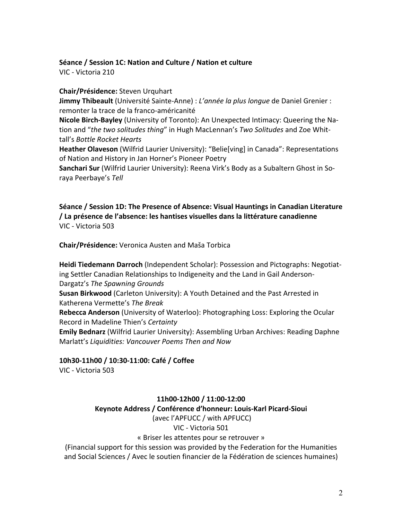## **Séance / Session 1C: Nation and Culture / Nation et culture**

VIC - Victoria 210

### **Chair/Présidence:** Steven Urquhart

**Jimmy Thibeault** (Université Sainte-Anne) : *L'année la plus longue* de Daniel Grenier : remonter la trace de la franco-américanité

**Nicole Birch-Bayley** (University of Toronto): An Unexpected Intimacy: Queering the Nation and "*the two solitudes thing*" in Hugh MacLennan's *Two Solitudes* and Zoe Whittall's *Bottle Rocket Hearts*

**Heather Olaveson** (Wilfrid Laurier University): "Belie[ving] in Canada": Representations of Nation and History in Jan Horner's Pioneer Poetry

**Sanchari Sur** (Wilfrid Laurier University): Reena Virk's Body as a Subaltern Ghost in Soraya Peerbaye's *Tell*

**Séance / Session 1D: The Presence of Absence: Visual Hauntings in Canadian Literature / La présence de l'absence: les hantises visuelles dans la littérature canadienne** VIC - Victoria 503

**Chair/Présidence:** Veronica Austen and Maša Torbica

**Heidi Tiedemann Darroch** (Independent Scholar): Possession and Pictographs: Negotiating Settler Canadian Relationships to Indigeneity and the Land in Gail Anderson-Dargatz's *The Spawning Grounds*

**Susan Birkwood** (Carleton University): A Youth Detained and the Past Arrested in Katherena Vermette's *The Break*

**Rebecca Anderson** (University of Waterloo): Photographing Loss: Exploring the Ocular Record in Madeline Thien's *Certainty*

**Emily Bednarz** (Wilfrid Laurier University): Assembling Urban Archives: Reading Daphne Marlatt's *Liquidities: Vancouver Poems Then and Now*

**10h30-11h00 / 10:30-11:00: Café / Coffee**

VIC - Victoria 503

**11h00-12h00 / 11:00-12:00 Keynote Address / Conférence d'honneur: Louis-Karl Picard-Sioui** (avec l'APFUCC / with APFUCC) VIC - Victoria 501

« Briser les attentes pour se retrouver »

(Financial support for this session was provided by the Federation for the Humanities and Social Sciences / Avec le soutien financier de la Fédération de sciences humaines)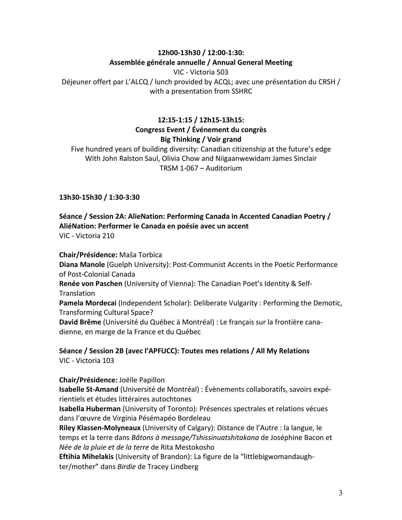## **12h00-13h30 / 12:00-1:30: Assemblée générale annuelle / Annual General Meeting**

VIC - Victoria 503 Déjeuner offert par L'ALCQ / lunch provided by ACQL; avec une présentation du CRSH / with a presentation from SSHRC

## **12:15-1:15 / 12h15-13h15: Congress Event / Événement du congrès Big Thinking / Voir grand**

Five hundred years of building diversity: Canadian citizenship at the future's edge With John Ralston Saul, Olivia Chow and Niigaanwewidam James Sinclair TRSM 1-067 – Auditorium

**13h30-15h30 / 1:30-3:30**

#### **Séance / Session 2A: AlieNation: Performing Canada in Accented Canadian Poetry / AliéNation: Performer le Canada en poésie avec un accent** VIC - Victoria 210

**Chair/Présidence:** Maša Torbica

**Diana Manole** (Guelph University): Post-Communist Accents in the Poetic Performance of Post-Colonial Canada

**Renée von Paschen** (University of Vienna): The Canadian Poet's Identity & Self-**Translation** 

**Pamela Mordecai** (Independent Scholar): Deliberate Vulgarity : Performing the Demotic, Transforming Cultural Space?

**David Brême** (Université du Québec à Montréal) : Le français sur la frontière canadienne, en marge de la France et du Québec

**Séance / Session 2B (avec l'APFUCC): Toutes mes relations / All My Relations** VIC - Victoria 103

## **Chair/Présidence:** Joëlle Papillon

**Isabelle St-Amand** (Université de Montréal) : Évènements collaboratifs, savoirs expérientiels et études littéraires autochtones

**Isabella Huberman** (University of Toronto): Présences spectrales et relations vécues dans l'œuvre de Virginia Pésémapéo Bordeleau

**Riley Klassen-Molyneaux** (University of Calgary): Distance de l'Autre : la langue, le temps et la terre dans *Bâtons à message/Tshissinuatshitakana* de Joséphine Bacon et *Née de la pluie et de la terre* de Rita Mestokosho

**Eftihia Mihelakis** (University of Brandon): La figure de la "littlebigwomandaughter/mother" dans *Birdie* de Tracey Lindberg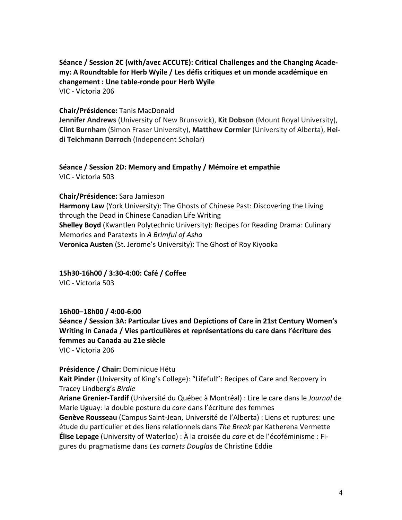**Séance / Session 2C (with/avec ACCUTE): Critical Challenges and the Changing Academy: A Roundtable for Herb Wyile / Les défis critiques et un monde académique en changement : Une table-ronde pour Herb Wyile**

VIC - Victoria 206

#### **Chair/Présidence:** Tanis MacDonald

**Jennifer Andrews** (University of New Brunswick), **Kit Dobson** (Mount Royal University), **Clint Burnham** (Simon Fraser University), **Matthew Cormier** (University of Alberta), **Heidi Teichmann Darroch** (Independent Scholar)

#### **Séance / Session 2D: Memory and Empathy / Mémoire et empathie** VIC - Victoria 503

**Chair/Présidence:** Sara Jamieson **Harmony Law** (York University): The Ghosts of Chinese Past: Discovering the Living through the Dead in Chinese Canadian Life Writing **Shelley Boyd** (Kwantlen Polytechnic University): Recipes for Reading Drama: Culinary Memories and Paratexts in *A Brimful of Asha* **Veronica Austen** (St. Jerome's University): The Ghost of Roy Kiyooka

**15h30-16h00 / 3:30-4:00: Café / Coffee** VIC - Victoria 503

#### **16h00–18h00 / 4:00-6:00**

**Séance / Session 3A: Particular Lives and Depictions of Care in 21st Century Women's Writing in Canada / Vies particulières et représentations du care dans l'écriture des femmes au Canada au 21e siècle** VIC - Victoria 206

#### **Présidence / Chair:** Dominique Hétu

**Kait Pinder** (University of King's College): "Lifefull": Recipes of Care and Recovery in Tracey Lindberg's *Birdie*

**Ariane Grenier-Tardif** (Université du Québec à Montréal) : Lire le care dans le *Journal* de Marie Uguay: la double posture du *care* dans l'écriture des femmes

**Genève Rousseau** (Campus Saint-Jean, Université de l'Alberta) : Liens et ruptures: une étude du particulier et des liens relationnels dans *The Break* par Katherena Vermette **Élise Lepage** (University of Waterloo) : À la croisée du *care* et de l'écoféminisme : Figures du pragmatisme dans *Les carnets Douglas* de Christine Eddie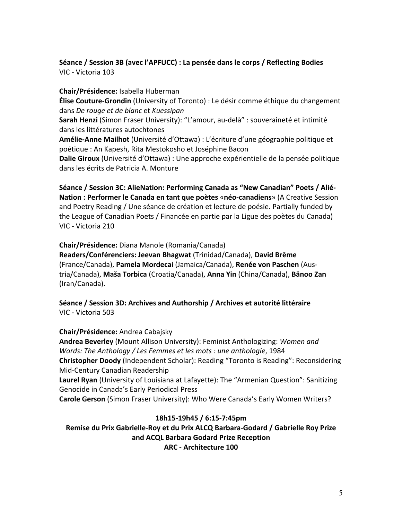## **Séance / Session 3B (avec l'APFUCC) : La pensée dans le corps / Reflecting Bodies** VIC - Victoria 103

**Chair/Présidence:** Isabella Huberman **Élise Couture-Grondin** (University of Toronto) : Le désir comme éthique du changement dans *De rouge et de blanc* et *Kuessipan* **Sarah Henzi** (Simon Fraser University): "L'amour, au-delà" : souveraineté et intimité dans les littératures autochtones **Amélie-Anne Mailhot** (Université d'Ottawa) : L'écriture d'une géographie politique et poétique : An Kapesh, Rita Mestokosho et Joséphine Bacon **Dalie Giroux** (Université d'Ottawa) : Une approche expérientielle de la pensée politique dans les écrits de Patricia A. Monture

**Séance / Session 3C: AlieNation: Performing Canada as "New Canadian" Poets / Alié-Nation : Performer le Canada en tant que poètes** «**néo-canadiens**» (A Creative Session and Poetry Reading / Une séance de création et lecture de poésie. Partially funded by the League of Canadian Poets / Financée en partie par la Ligue des poètes du Canada) VIC - Victoria 210

**Chair/Présidence:** Diana Manole (Romania/Canada)

**Readers/Conférenciers: Jeevan Bhagwat** (Trinidad/Canada), **David Brême** (France/Canada), **Pamela Mordecai** (Jamaica/Canada), **Renée von Paschen** (Austria/Canada), **Maša Torbica** (Croatia/Canada), **Anna Yin** (China/Canada), **Bänoo Zan** (Iran/Canada).

**Séance / Session 3D: Archives and Authorship / Archives et autorité littéraire** VIC - Victoria 503

**Chair/Présidence:** Andrea Cabajsky

**Andrea Beverley** (Mount Allison University): Feminist Anthologizing: *Women and Words: The Anthology / Les Femmes et les mots : une anthologie*, 1984 **Christopher Doody** (Independent Scholar): Reading "Toronto is Reading": Reconsidering Mid-Century Canadian Readership **Laurel Ryan** (University of Louisiana at Lafayette): The "Armenian Question": Sanitizing Genocide in Canada's Early Periodical Press

**Carole Gerson** (Simon Fraser University): Who Were Canada's Early Women Writers?

**18h15-19h45 / 6:15-7:45pm**

**Remise du Prix Gabrielle-Roy et du Prix ALCQ Barbara-Godard / Gabrielle Roy Prize and ACQL Barbara Godard Prize Reception ARC - Architecture 100**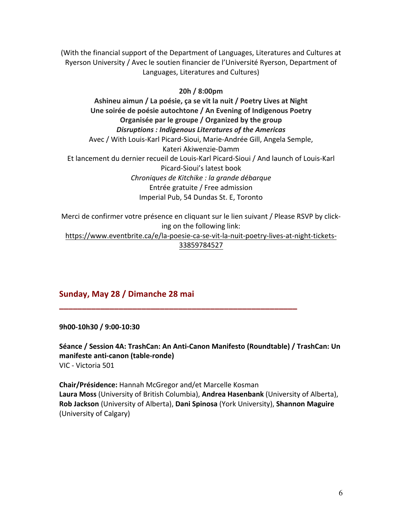(With the financial support of the Department of Languages, Literatures and Cultures at Ryerson University / Avec le soutien financier de l'Université Ryerson, Department of Languages, Literatures and Cultures)

### **20h / 8:00pm**

**Ashineu aimun / La poésie, ça se vit la nuit / Poetry Lives at Night Une soirée de poésie autochtone / An Evening of Indigenous Poetry Organisée par le groupe / Organized by the group** *Disruptions : Indigenous Literatures of the Americas* Avec / With Louis-Karl Picard-Sioui, Marie-Andrée Gill, Angela Semple, Kateri Akiwenzie-Damm Et lancement du dernier recueil de Louis-Karl Picard-Sioui / And launch of Louis-Karl Picard-Sioui's latest book *Chroniques de Kitchike : la grande débarque* Entrée gratuite / Free admission Imperial Pub, 54 Dundas St. E, Toronto

Merci de confirmer votre présence en cliquant sur le lien suivant / Please RSVP by clicking on the following link:

https://www.eventbrite.ca/e/la-poesie-ca-se-vit-la-nuit-poetry-lives-at-night-tickets-33859784527

## **Sunday, May 28 / Dimanche 28 mai**

**9h00-10h30 / 9:00-10:30**

**Séance / Session 4A: TrashCan: An Anti-Canon Manifesto (Roundtable) / TrashCan: Un manifeste anti-canon (table-ronde)** VIC - Victoria 501

**\_\_\_\_\_\_\_\_\_\_\_\_\_\_\_\_\_\_\_\_\_\_\_\_\_\_\_\_\_\_\_\_\_\_\_\_\_\_\_\_\_\_\_\_\_\_\_\_\_\_\_\_**

**Chair/Présidence:** Hannah McGregor and/et Marcelle Kosman **Laura Moss** (University of British Columbia), **Andrea Hasenbank** (University of Alberta), **Rob Jackson** (University of Alberta), **Dani Spinosa** (York University), **Shannon Maguire** (University of Calgary)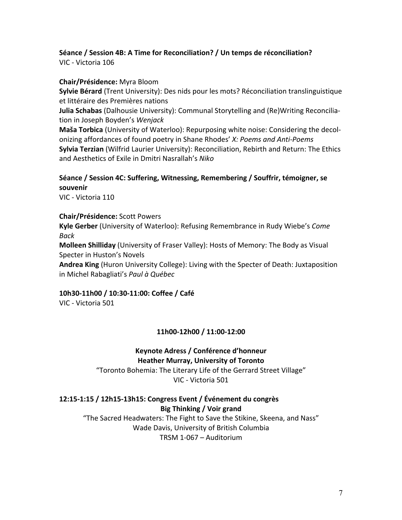#### **Séance / Session 4B: A Time for Reconciliation? / Un temps de réconciliation?** VIC - Victoria 106

## **Chair/Présidence:** Myra Bloom

**Sylvie Bérard** (Trent University): Des nids pour les mots? Réconciliation translinguistique et littéraire des Premières nations

**Julia Schabas** (Dalhousie University): Communal Storytelling and (Re)Writing Reconciliation in Joseph Boyden's *Wenjack*

**Maša Torbica** (University of Waterloo): Repurposing white noise: Considering the decolonizing affordances of found poetry in Shane Rhodes' *X: Poems and Anti-Poems* **Sylvia Terzian** (Wilfrid Laurier University): Reconciliation, Rebirth and Return: The Ethics and Aesthetics of Exile in Dmitri Nasrallah's *Niko*

## **Séance / Session 4C: Suffering, Witnessing, Remembering / Souffrir, témoigner, se souvenir**

VIC - Victoria 110

#### **Chair/Présidence:** Scott Powers

**Kyle Gerber** (University of Waterloo): Refusing Remembrance in Rudy Wiebe's *Come Back*

**Molleen Shilliday** (University of Fraser Valley): Hosts of Memory: The Body as Visual Specter in Huston's Novels

**Andrea King** (Huron University College): Living with the Specter of Death: Juxtaposition in Michel Rabagliati's *Paul à Québec*

## **10h30-11h00 / 10:30-11:00: Coffee / Café**

VIC - Victoria 501

## **11h00-12h00 / 11:00-12:00**

#### **Keynote Adress / Conférence d'honneur Heather Murray, University of Toronto**

"Toronto Bohemia: The Literary Life of the Gerrard Street Village" VIC - Victoria 501

**12:15-1:15 / 12h15-13h15: Congress Event / Événement du congrès Big Thinking / Voir grand** "The Sacred Headwaters: The Fight to Save the Stikine, Skeena, and Nass" Wade Davis, University of British Columbia

TRSM 1-067 – Auditorium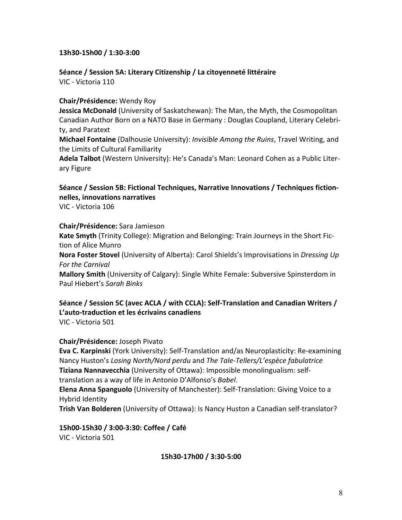#### **13h30-15h00 / 1:30-3:00**

**Séance / Session 5A: Literary Citizenship / La citoyenneté littéraire** VIC - Victoria 110

#### **Chair/Présidence:** Wendy Roy

**Jessica McDonald** (University of Saskatchewan): The Man, the Myth, the Cosmopolitan Canadian Author Born on a NATO Base in Germany : Douglas Coupland, Literary Celebrity, and Paratext

**Michael Fontaine** (Dalhousie University): *Invisible Among the Ruins*, Travel Writing, and the Limits of Cultural Familiarity

**Adela Talbot** (Western University): He's Canada's Man: Leonard Cohen as a Public Literary Figure

## **Séance / Session 5B: Fictional Techniques, Narrative Innovations / Techniques fictionnelles, innovations narratives**

VIC - Victoria 106

#### **Chair/Présidence:** Sara Jamieson

**Kate Smyth** (Trinity College): Migration and Belonging: Train Journeys in the Short Fiction of Alice Munro

**Nora Foster Stovel** (University of Alberta): Carol Shields's Improvisations in *Dressing Up For the Carnival*

**Mallory Smith** (University of Calgary): Single White Female: Subversive Spinsterdom in Paul Hiebert's *Sarah Binks*

# **Séance / Session 5C (avec ACLA / with CCLA): Self-Translation and Canadian Writers / L'auto-traduction et les écrivains canadiens**

VIC - Victoria 501

#### **Chair/Présidence:** Joseph Pivato

**Eva C. Karpinski** (York University): Self-Translation and/as Neuroplasticity: Re-examining Nancy Huston's *Losing North/Nord perdu* and *The Tale-Tellers/L'espèce fabulatrice* **Tiziana Nannavecchia** (University of Ottawa): Impossible monolingualism: selftranslation as a way of life in Antonio D'Alfonso's *Babel*.

**Elena Anna Spanguolo** (University of Manchester): Self-Translation: Giving Voice to a Hybrid Identity

**Trish Van Bolderen** (University of Ottawa): Is Nancy Huston a Canadian self-translator?

**15h00-15h30 / 3:00-3:30: Coffee / Café** VIC - Victoria 501

**15h30-17h00 / 3:30-5:00**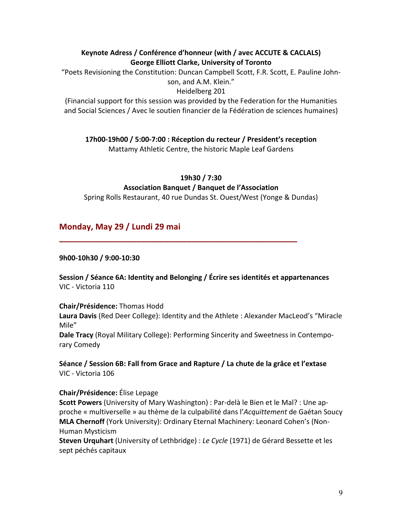## **Keynote Adress / Conférence d'honneur (with / avec ACCUTE & CACLALS) George Elliott Clarke, University of Toronto**

"Poets Revisioning the Constitution: Duncan Campbell Scott, F.R. Scott, E. Pauline Johnson, and A.M. Klein."

Heidelberg 201

(Financial support for this session was provided by the Federation for the Humanities and Social Sciences / Avec le soutien financier de la Fédération de sciences humaines)

**17h00-19h00 / 5:00-7:00 : Réception du recteur / President's reception**

Mattamy Athletic Centre, the historic Maple Leaf Gardens

**19h30 / 7:30**

## **Association Banquet / Banquet de l'Association**

Spring Rolls Restaurant, 40 rue Dundas St. Ouest/West (Yonge & Dundas)

## **Monday, May 29 / Lundi 29 mai**

## **9h00-10h30 / 9:00-10:30**

**Session / Séance 6A: Identity and Belonging / Écrire ses identités et appartenances** VIC - Victoria 110

**\_\_\_\_\_\_\_\_\_\_\_\_\_\_\_\_\_\_\_\_\_\_\_\_\_\_\_\_\_\_\_\_\_\_\_\_\_\_\_\_\_\_\_\_\_\_\_\_\_\_\_\_**

**Chair/Présidence:** Thomas Hodd

**Laura Davis** (Red Deer College): Identity and the Athlete : Alexander MacLeod's "Miracle Mile"

**Dale Tracy** (Royal Military College): Performing Sincerity and Sweetness in Contemporary Comedy

**Séance / Session 6B: Fall from Grace and Rapture / La chute de la grâce et l'extase** VIC - Victoria 106

## **Chair/Présidence:** Élise Lepage

**Scott Powers** (University of Mary Washington) : Par-delà le Bien et le Mal? : Une approche « multiverselle » au thème de la culpabilité dans l'*Acquittement* de Gaétan Soucy **MLA Chernoff** (York University): Ordinary Eternal Machinery: Leonard Cohen's (Non-Human Mysticism

**Steven Urquhart** (University of Lethbridge) : *Le Cycle* (1971) de Gérard Bessette et les sept péchés capitaux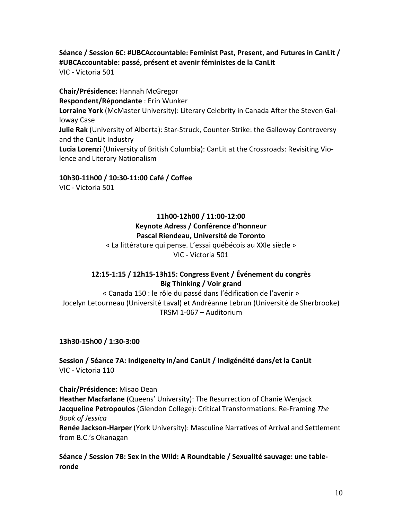## **Séance / Session 6C: #UBCAccountable: Feminist Past, Present, and Futures in CanLit / #UBCAccountable: passé, présent et avenir féministes de la CanLit** VIC - Victoria 501

**Chair/Présidence:** Hannah McGregor **Respondent/Répondante** : Erin Wunker **Lorraine York** (McMaster University): Literary Celebrity in Canada After the Steven Galloway Case **Julie Rak** (University of Alberta): Star-Struck, Counter-Strike: the Galloway Controversy and the CanLit Industry **Lucia Lorenzi** (University of British Columbia): CanLit at the Crossroads: Revisiting Violence and Literary Nationalism

## **10h30-11h00 / 10:30-11:00 Café / Coffee**

VIC - Victoria 501

## **11h00-12h00 / 11:00-12:00 Keynote Adress / Conférence d'honneur Pascal Riendeau, Université de Toronto**

« La littérature qui pense. L'essai québécois au XXIe siècle » VIC - Victoria 501

## **12:15-1:15 / 12h15-13h15: Congress Event / Événement du congrès Big Thinking / Voir grand**

« Canada 150 : le rôle du passé dans l'édification de l'avenir » Jocelyn Letourneau (Université Laval) et Andréanne Lebrun (Université de Sherbrooke) TRSM 1-067 – Auditorium

**13h30-15h00 / 1:30-3:00**

from B.C.'s Okanagan

**Session / Séance 7A: Indigeneity in/and CanLit / Indigénéité dans/et la CanLit** VIC - Victoria 110

**Chair/Présidence:** Misao Dean **Heather Macfarlane** (Queens' University): The Resurrection of Chanie Wenjack **Jacqueline Petropoulos** (Glendon College): Critical Transformations: Re-Framing *The Book of Jessica* **Renée Jackson-Harper** (York University): Masculine Narratives of Arrival and Settlement

**Séance / Session 7B: Sex in the Wild: A Roundtable / Sexualité sauvage: une tableronde**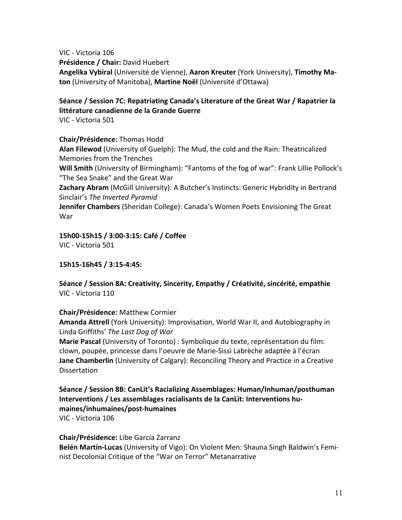VIC - Victoria 106 **Présidence / Chair:** David Huebert **Angelika Vybiral** (Université de Vienne), **Aaron Kreuter** (York University), **Timothy Maton** (University of Manitoba), **Martine Noël** (Université d'Ottawa)

## **Séance / Session 7C: Repatriating Canada's Literature of the Great War / Rapatrier la littérature canadienne de la Grande Guerre**

VIC - Victoria 501

**Chair/Présidence:** Thomas Hodd

**Alan Filewod** (University of Guelph): The Mud, the cold and the Rain: Theatricalized Memories from the Trenches

**Will Smith** (University of Birmingham): "Fantoms of the fog of war": Frank Lillie Pollock's "The Sea Snake" and the Great War

**Zachary Abram** (McGill University): A Butcher's Instincts: Generic Hybridity in Bertrand Sinclair's *The Inverted Pyramid*

**Jennifer Chambers** (Sheridan College): Canada's Women Poets Envisioning The Great War

**15h00-15h15 / 3:00-3:15: Café / Coffee** VIC - Victoria 501

**15h15-16h45 / 3:15-4:45:**

**Séance / Session 8A: Creativity, Sincerity, Empathy / Créativité, sincérité, empathie** VIC - Victoria 110

**Chair/Présidence:** Matthew Cormier

**Amanda Attrell** (York University): Improvisation, World War II, and Autobiography in Linda Griffiths' *The Last Dog of War*

**Marie Pascal** (University of Toronto) : Symbolique du texte, représentation du film: clown, poupée, princesse dans l'oeuvre de Marie-Sissi Labrèche adaptée à l'écran **Jane Chamberlin** (University of Calgary): Reconciling Theory and Practice in a Creative Dissertation

**Séance / Session 8B: CanLit's Racializing Assemblages: Human/Inhuman/posthuman Interventions / Les assemblages racialisants de la CanLit: Interventions humaines/inhumaines/post-humaines**

VIC - Victoria 106

**Chair/Présidence:** Libe García Zarranz **Belén Martín-Lucas** (University of Vigo): On Violent Men: Shauna Singh Baldwin's Feminist Decolonial Critique of the "War on Terror" Metanarrative